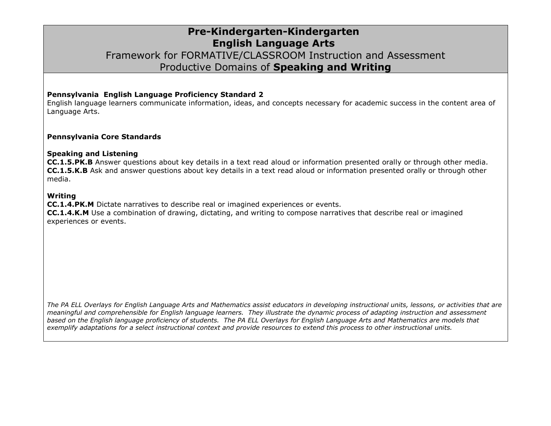### **Pre-Kindergarten-Kindergarten English Language Arts** Framework for FORMATIVE/CLASSROOM Instruction and Assessment Productive Domains of **Speaking and Writing**

#### **Pennsylvania English Language Proficiency Standard 2**

English language learners communicate information, ideas, and concepts necessary for academic success in the content area of Language Arts.

#### **Pennsylvania Core Standards**

#### **Speaking and Listening**

**CC.1.5.PK.B** Answer questions about key details in a text read aloud or information presented orally or through other media. **CC.1.5.K.B** Ask and answer questions about key details in a text read aloud or information presented orally or through other media.

#### **Writing**

**CC.1.4.PK.M** Dictate narratives to describe real or imagined experiences or events.

**CC.1.4.K.M** Use a combination of drawing, dictating, and writing to compose narratives that describe real or imagined experiences or events.

*The PA ELL Overlays for English Language Arts and Mathematics assist educators in developing instructional units, lessons, or activities that are meaningful and comprehensible for English language learners. They illustrate the dynamic process of adapting instruction and assessment based on the English language proficiency of students. The PA ELL Overlays for English Language Arts and Mathematics are models that exemplify adaptations for a select instructional context and provide resources to extend this process to other instructional units.*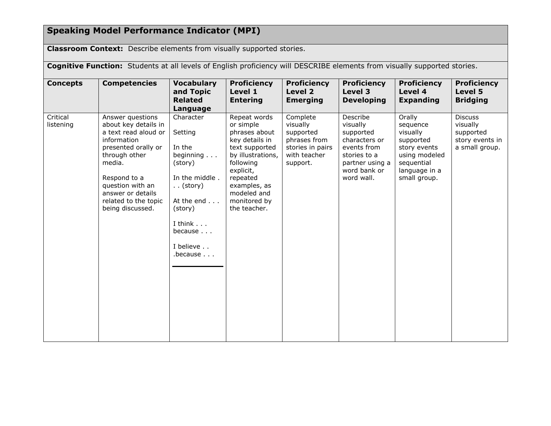# **Speaking Model Performance Indicator (MPI)**

**Classroom Context:** Describe elements from visually supported stories.

| Cognitive Function: Students at all levels of English proficiency will DESCRIBE elements from visually supported stories. |                                                                                                                                                                                                                                        |                                                                                                                                                                      |                                                                                                                                                                                                          |                                                                                                   |                                                                                                                                    |                                                                                                                             |                                                                              |
|---------------------------------------------------------------------------------------------------------------------------|----------------------------------------------------------------------------------------------------------------------------------------------------------------------------------------------------------------------------------------|----------------------------------------------------------------------------------------------------------------------------------------------------------------------|----------------------------------------------------------------------------------------------------------------------------------------------------------------------------------------------------------|---------------------------------------------------------------------------------------------------|------------------------------------------------------------------------------------------------------------------------------------|-----------------------------------------------------------------------------------------------------------------------------|------------------------------------------------------------------------------|
| <b>Concepts</b>                                                                                                           | <b>Competencies</b>                                                                                                                                                                                                                    | <b>Vocabulary</b><br>and Topic<br><b>Related</b><br>Language                                                                                                         | <b>Proficiency</b><br>Level 1<br><b>Entering</b>                                                                                                                                                         | <b>Proficiency</b><br>Level 2<br><b>Emerging</b>                                                  | <b>Proficiency</b><br>Level 3<br><b>Developing</b>                                                                                 | <b>Proficiency</b><br>Level 4<br><b>Expanding</b>                                                                           | <b>Proficiency</b><br>Level 5<br><b>Bridging</b>                             |
| Critical<br>listening                                                                                                     | Answer questions<br>about key details in<br>a text read aloud or<br>information<br>presented orally or<br>through other<br>media.<br>Respond to a<br>question with an<br>answer or details<br>related to the topic<br>being discussed. | Character<br>Setting<br>In the<br>beginning<br>(story)<br>In the middle.<br>$\ldots$ (story)<br>At the end<br>(story)<br>I think<br>because<br>I believe<br>.because | Repeat words<br>or simple<br>phrases about<br>key details in<br>text supported<br>by illustrations,<br>following<br>explicit,<br>repeated<br>examples, as<br>modeled and<br>monitored by<br>the teacher. | Complete<br>visually<br>supported<br>phrases from<br>stories in pairs<br>with teacher<br>support. | Describe<br>visually<br>supported<br>characters or<br>events from<br>stories to a<br>partner using a<br>word bank or<br>word wall. | Orally<br>sequence<br>visually<br>supported<br>story events<br>using modeled<br>sequential<br>language in a<br>small group. | <b>Discuss</b><br>visually<br>supported<br>story events in<br>a small group. |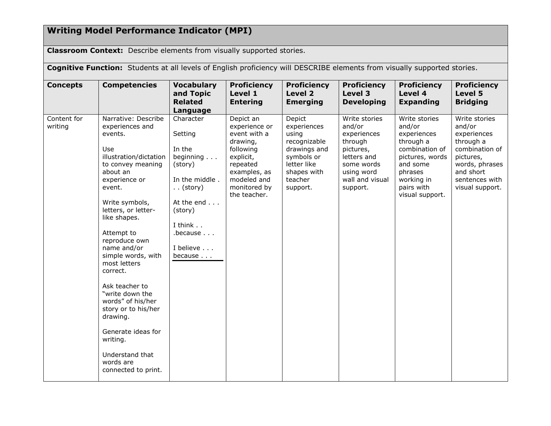## **Writing Model Performance Indicator (MPI)**

**Classroom Context:** Describe elements from visually supported stories.

**Cognitive Function:** Students at all levels of English proficiency will DESCRIBE elements from visually supported stories.

| <b>Concepts</b>        | <b>Competencies</b>                                                                                                                                                                                                                                                                                                                                                                                                                                                                           | <b>Vocabulary</b><br>and Topic<br><b>Related</b><br>Language                                                                                                                         | <b>Proficiency</b><br>Level 1<br><b>Entering</b>                                                                                                            | <b>Proficiency</b><br>Level 2<br><b>Emerging</b>                                                                                  | <b>Proficiency</b><br>Level 3<br><b>Developing</b>                                                                                       | <b>Proficiency</b><br>Level 4<br><b>Expanding</b>                                                                                                              | <b>Proficiency</b><br>Level 5<br><b>Bridging</b>                                                                                                       |
|------------------------|-----------------------------------------------------------------------------------------------------------------------------------------------------------------------------------------------------------------------------------------------------------------------------------------------------------------------------------------------------------------------------------------------------------------------------------------------------------------------------------------------|--------------------------------------------------------------------------------------------------------------------------------------------------------------------------------------|-------------------------------------------------------------------------------------------------------------------------------------------------------------|-----------------------------------------------------------------------------------------------------------------------------------|------------------------------------------------------------------------------------------------------------------------------------------|----------------------------------------------------------------------------------------------------------------------------------------------------------------|--------------------------------------------------------------------------------------------------------------------------------------------------------|
| Content for<br>writing | Narrative: Describe<br>experiences and<br>events.<br>Use<br>illustration/dictation<br>to convey meaning<br>about an<br>experience or<br>event.<br>Write symbols,<br>letters, or letter-<br>like shapes.<br>Attempt to<br>reproduce own<br>name and/or<br>simple words, with<br>most letters<br>correct.<br>Ask teacher to<br>"write down the<br>words" of his/her<br>story or to his/her<br>drawing.<br>Generate ideas for<br>writing.<br>Understand that<br>words are<br>connected to print. | Character<br>Setting<br>In the<br>beginning $\ldots$<br>(story)<br>In the middle.<br>$\ldots$ (story)<br>At the end<br>(story)<br>I think<br>$.$ because $.$<br>I believe<br>because | Depict an<br>experience or<br>event with a<br>drawing,<br>following<br>explicit,<br>repeated<br>examples, as<br>modeled and<br>monitored by<br>the teacher. | Depict<br>experiences<br>using<br>recognizable<br>drawings and<br>symbols or<br>letter like<br>shapes with<br>teacher<br>support. | Write stories<br>and/or<br>experiences<br>through<br>pictures,<br>letters and<br>some words<br>using word<br>wall and visual<br>support. | Write stories<br>and/or<br>experiences<br>through a<br>combination of<br>pictures, words<br>and some<br>phrases<br>working in<br>pairs with<br>visual support. | Write stories<br>and/or<br>experiences<br>through a<br>combination of<br>pictures,<br>words, phrases<br>and short<br>sentences with<br>visual support. |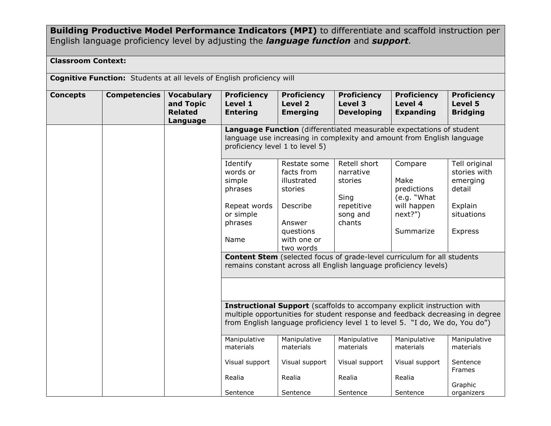**Building Productive Model Performance Indicators (MPI)** to differentiate and scaffold instruction per English language proficiency level by adjusting the *language function* and *support.*

### **Classroom Context:**

|  | <b>Cognitive Function:</b> Students at all levels of English proficiency will |  |
|--|-------------------------------------------------------------------------------|--|
|--|-------------------------------------------------------------------------------|--|

| <b>Concepts</b> | <b>Competencies</b> | <b>Vocabulary</b><br>and Topic<br><b>Related</b><br>Language | <b>Proficiency</b><br>Level 1<br><b>Entering</b>                                                                                                                                                                                                | <b>Proficiency</b><br>Level 2<br><b>Emerging</b>                                                                    | <b>Proficiency</b><br>Level 3<br><b>Developing</b>                                                                                                 | <b>Proficiency</b><br>Level 4<br><b>Expanding</b>                                    | <b>Proficiency</b><br>Level 5<br><b>Bridging</b>                                        |  |  |
|-----------------|---------------------|--------------------------------------------------------------|-------------------------------------------------------------------------------------------------------------------------------------------------------------------------------------------------------------------------------------------------|---------------------------------------------------------------------------------------------------------------------|----------------------------------------------------------------------------------------------------------------------------------------------------|--------------------------------------------------------------------------------------|-----------------------------------------------------------------------------------------|--|--|
|                 |                     |                                                              | Language Function (differentiated measurable expectations of student<br>language use increasing in complexity and amount from English language<br>proficiency level 1 to level 5)                                                               |                                                                                                                     |                                                                                                                                                    |                                                                                      |                                                                                         |  |  |
|                 |                     |                                                              | Identify<br>words or<br>simple<br>phrases<br>Repeat words<br>or simple<br>phrases<br>Name                                                                                                                                                       | Restate some<br>facts from<br>illustrated<br>stories<br>Describe<br>Answer<br>questions<br>with one or<br>two words | Retell short<br>narrative<br>stories<br>Sing<br>repetitive<br>song and<br>chants                                                                   | Compare<br>Make<br>predictions<br>(e.g. "What<br>will happen<br>next?")<br>Summarize | Tell original<br>stories with<br>emerging<br>detail<br>Explain<br>situations<br>Express |  |  |
|                 |                     |                                                              |                                                                                                                                                                                                                                                 |                                                                                                                     | <b>Content Stem</b> (selected focus of grade-level curriculum for all students<br>remains constant across all English language proficiency levels) |                                                                                      |                                                                                         |  |  |
|                 |                     |                                                              |                                                                                                                                                                                                                                                 |                                                                                                                     |                                                                                                                                                    |                                                                                      |                                                                                         |  |  |
|                 |                     |                                                              | <b>Instructional Support</b> (scaffolds to accompany explicit instruction with<br>multiple opportunities for student response and feedback decreasing in degree<br>from English language proficiency level 1 to level 5. "I do, We do, You do") |                                                                                                                     |                                                                                                                                                    |                                                                                      |                                                                                         |  |  |
|                 |                     |                                                              | Manipulative<br>materials                                                                                                                                                                                                                       | Manipulative<br>materials                                                                                           | Manipulative<br>materials                                                                                                                          | Manipulative<br>materials                                                            | Manipulative<br>materials                                                               |  |  |
|                 |                     |                                                              | Visual support                                                                                                                                                                                                                                  | Visual support                                                                                                      | Visual support                                                                                                                                     | Visual support                                                                       | Sentence<br><b>Frames</b>                                                               |  |  |
|                 |                     |                                                              | Realia<br>Sentence                                                                                                                                                                                                                              | Realia<br>Sentence                                                                                                  | Realia<br>Sentence                                                                                                                                 | Realia<br>Sentence                                                                   | Graphic<br>organizers                                                                   |  |  |